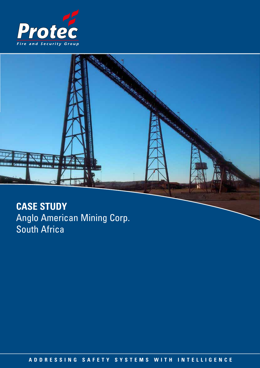



# **CASE STUDY** Anglo American Mining Corp. South Africa

**ADDRESSING SAFETY SYSTEMS WITH INTELLIGENCE ADDRESSING SAFETY SYSTEMS WITH INTELLIGENCE**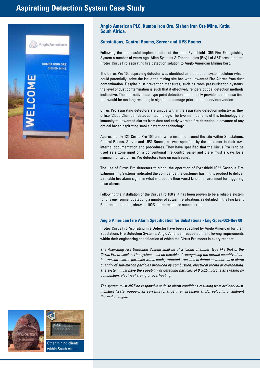# **Aspirating Detection System Case Study**



### **Anglo American PLC, Kumba Iron Ore, Sishen Iron Ore Mine, Kathu, South Africa.**

## **Substations, Control Rooms, Server and UPS Rooms**

Following the successful implementation of the their Pyroshield IG55 Fire Extinguishing System a number of years ago, Alien Systems & Technologies (Pty) Ltd AST presented the Protec Cirrus Pro aspirating fire detection solution to Anglo American Mining Corp.

The Cirrus Pro 100 aspirating detector was identified as a detection system solution which could potentially, solve the issue the mining site has with unwanted Fire Alarms from dust contamination. Despite dust prevention measures, such as room pressurisation systems, the level of dust contamination is such that it effectively renders optical detection methods ineffective. The alternative heat type point detection method only provides a response time that would be too long resulting in significant damage prior to detection/intervention.

Cirrus Pro aspirating detectors are unique within the aspirating detection industry as they utilise 'Cloud Chamber' detection technology. The two main benefits of this technology are immunity to unwanted alarms from dust and early warning fire detection in advance of any optical based aspirating smoke detection technology.

Approximately 120 Cirrus Pro 100 units were installed around the site within Substations, Control Rooms, Server and UPS Rooms; as was specified by the customer in their own internal documentation and procedures. They have specified that the Cirrus Pro is to be used as a zone input on a conventional fire control panel and there must always be a minimum of two Cirrus Pro detectors (one on each zone).

The use of Cirrus Pro detectors to signal the operation of Pyroshield IG55 Gaseous Fire Extinguishing Systems, indicated the confidence the customer has in this product to deliver a reliable fire alarm signal in what is probably their worst kind of environment for triggering false alarms.

Following the installation of the Cirrus Pro 100's, it has been proven to be a reliable system for this environment detecting a number of actual fire situations as detailed in the Fire Event Reports and to date, shows a 100% alarm response success rate.

#### **Anglo American Fire Alarm Specification for Substations - Eng-Spec-002-Rev 00**

Protec Cirrus Pro Aspirating Fire Detector have been specified by Anglo American for their Substations Fire Detection Systems. Anglo American requested the following requirements within their engineering specification of which the Cirrus Pro meets in every respect:

*The Aspirating Fire Detection System shall be of a 'cloud chamber' type like that of the Cirrus Pro or similar. The system must be capable of recognising the normal quantity of airbourne sub-micron particles within each protected area, and to detect an abnormal or alarm quantity of sub-mircon particles produced by combustion, electrical arcing or overheating. The system must have the capability of detecting particles of 0.0025 microns as created by combustion, electrical arcing or overheating.*

*The system must NOT be responsive to false alarm conditions resulting from ordinary dust, moisture (water vapour), air currents (change in air pressure and/or velocity) or ambient thermal changes.*



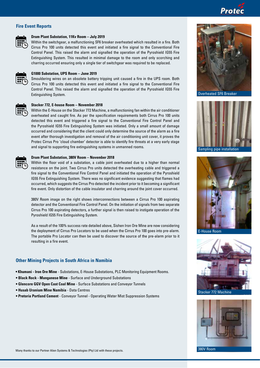# Protec

### **Fire Event Reports**



#### **Drum Plant Substation, 11Kv Room – July 2019**

Within the switchgear, a malfunctioning SF6 breaker overheated which resulted in a fire. Both Cirrus Pro 100 units detected this event and initiated a fire signal to the Conventional Fire Control Panel. This raised the alarm and signalled the operation of the Pyroshield IG55 Fire Extinguishing System. This resulted in minimal damage to the room and only scorching and charring occurred ensuring only a single tier of switchgear was required to be replaced.



### **G1000 Substation, UPS Room – June 2019**

Smouldering wires on an obsolete battery tripping unit caused a fire in the UPS room. Both Cirrus Pro 100 units detected this event and initiated a fire signal to the Conventional Fire Control Panel. This raised the alarm and signalled the operation of the Pyroshield IG55 Fire Extinguishing System.



#### **Stacker 772, E-house Room – November 2018**

Within the E-House on the Stacker 772 Machine, a malfunctioning fan within the air conditioner overheated and caught fire. As per the specification requirements both Cirrus Pro 100 units detected this event and triggered a fire signal to the Conventional Fire Control Panel and the Pyroshield IG55 Fire Extinguishing System was initiated. Only a small amount of damage occurred and considering that the client could only determine the source of the alarm as a fire event after thorough investigation and removal of the air conditioning unit cover, it proves the Protec Cirrus Pro 'cloud chamber' detector is able to identify fire threats at a very early stage and signal to supporting fire extinguishing systems in unmanned rooms.



#### **Drum Plant Substation, 380V Room – November 2018**

Within the floor void of a substation, a cable joint overheated due to a higher than normal resistance on the joint. Two Cirrus Pro units detected the overheating cable and triggered a fire signal to the Conventional Fire Control Panel and initiated the operation of the Pyroshield IG55 Fire Extinguishing System. There was no significant evidence suggesting that flames had occurred, which suggests the Cirrus Pro detected the incident prior to it becoming a significant fire event. Only distortion of the cable insulator and charring around the joint cover occurred.

380V Room image on the right shows interconnections between a Cirrus Pro 100 aspirating detector and the Conventional Fire Control Panel. On the initiation of signals from two separate Cirrus Pro 100 aspirating detectors, a further signal is then raised to instigate operation of the Pyroshield IG55 Fire Extinguishing System.

As a result of the 100% success rate detailed above, Sishen Iron Ore Mine are now considering the deployment of Cirrus Pro Locators to be used when the Cirrus Pro 100 goes into pre-alarm. The portable Pro Locator can then be used to discover the source of the pre-alarm prior to it resulting in a fire event.

#### **Other Mining Projects in South Africa in Namibia**

- **Khumani Iron Ore Mine** Substations, E-House Substations, PLC Monitoring Equipment Rooms.
- **Black Rock Manganese Mine** Surface and Underground Substations
- **Glencore GGV Open Cast Coal Mine** Surface Substations and Conveyor Tunnels
- **Husab Uranium Mine Namibia** Data Centres
- **Pretoria Portland Cement** Conveyor Tunnel Operating Water Mist Suppression Systems



Overheated SF6 Breaker



Sampling pipe installation



E-House Room





380V Room

Many thanks to our Partner Alien Systems & Technologies (Pty) Ltd with these projects.